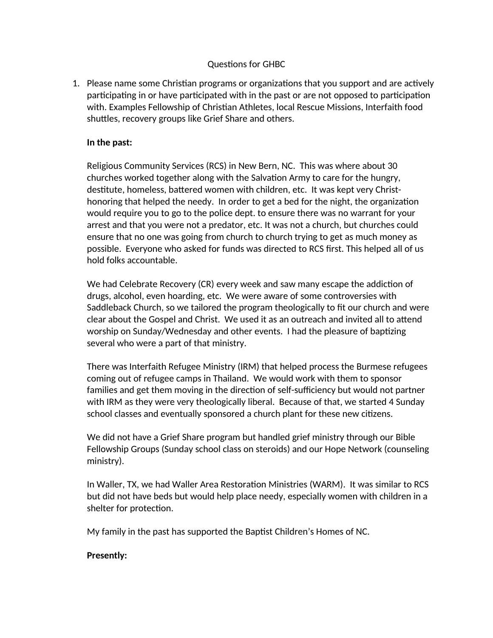## Questions for GHBC

1. Please name some Christian programs or organizations that you support and are actively participating in or have participated with in the past or are not opposed to participation with. Examples Fellowship of Christian Athletes, local Rescue Missions, Interfaith food shuttles, recovery groups like Grief Share and others.

## **In the past:**

Religious Community Services (RCS) in New Bern, NC. This was where about 30 churches worked together along with the Salvation Army to care for the hungry, destitute, homeless, battered women with children, etc. It was kept very Christhonoring that helped the needy. In order to get a bed for the night, the organization would require you to go to the police dept. to ensure there was no warrant for your arrest and that you were not a predator, etc. It was not a church, but churches could ensure that no one was going from church to church trying to get as much money as possible. Everyone who asked for funds was directed to RCS first. This helped all of us hold folks accountable.

We had Celebrate Recovery (CR) every week and saw many escape the addiction of drugs, alcohol, even hoarding, etc. We were aware of some controversies with Saddleback Church, so we tailored the program theologically to fit our church and were clear about the Gospel and Christ. We used it as an outreach and invited all to attend worship on Sunday/Wednesday and other events. I had the pleasure of baptizing several who were a part of that ministry.

There was Interfaith Refugee Ministry (IRM) that helped process the Burmese refugees coming out of refugee camps in Thailand. We would work with them to sponsor families and get them moving in the direction of self-sufficiency but would not partner with IRM as they were very theologically liberal. Because of that, we started 4 Sunday school classes and eventually sponsored a church plant for these new citizens.

We did not have a Grief Share program but handled grief ministry through our Bible Fellowship Groups (Sunday school class on steroids) and our Hope Network (counseling ministry).

In Waller, TX, we had Waller Area Restoration Ministries (WARM). It was similar to RCS but did not have beds but would help place needy, especially women with children in a shelter for protection.

My family in the past has supported the Baptist Children's Homes of NC.

## **Presently:**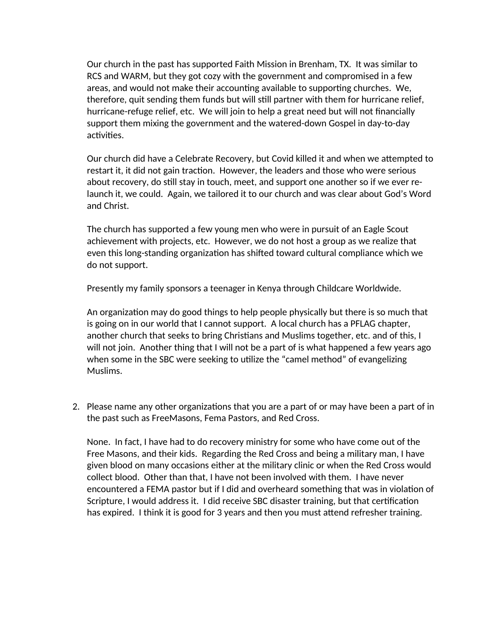Our church in the past has supported Faith Mission in Brenham, TX. It was similar to RCS and WARM, but they got cozy with the government and compromised in a few areas, and would not make their accounting available to supporting churches. We, therefore, quit sending them funds but will still partner with them for hurricane relief, hurricane-refuge relief, etc. We will join to help a great need but will not financially support them mixing the government and the watered-down Gospel in day-to-day activities.

Our church did have a Celebrate Recovery, but Covid killed it and when we attempted to restart it, it did not gain traction. However, the leaders and those who were serious about recovery, do still stay in touch, meet, and support one another so if we ever relaunch it, we could. Again, we tailored it to our church and was clear about God's Word and Christ.

The church has supported a few young men who were in pursuit of an Eagle Scout achievement with projects, etc. However, we do not host a group as we realize that even this long-standing organization has shifted toward cultural compliance which we do not support.

Presently my family sponsors a teenager in Kenya through Childcare Worldwide.

An organization may do good things to help people physically but there is so much that is going on in our world that I cannot support. A local church has a PFLAG chapter, another church that seeks to bring Christians and Muslims together, etc. and of this, I will not join. Another thing that I will not be a part of is what happened a few years ago when some in the SBC were seeking to utilize the "camel method" of evangelizing Muslims.

2. Please name any other organizations that you are a part of or may have been a part of in the past such as FreeMasons, Fema Pastors, and Red Cross.

None. In fact, I have had to do recovery ministry for some who have come out of the Free Masons, and their kids. Regarding the Red Cross and being a military man, I have given blood on many occasions either at the military clinic or when the Red Cross would collect blood. Other than that, I have not been involved with them. I have never encountered a FEMA pastor but if I did and overheard something that was in violation of Scripture, I would address it. I did receive SBC disaster training, but that certification has expired. I think it is good for 3 years and then you must attend refresher training.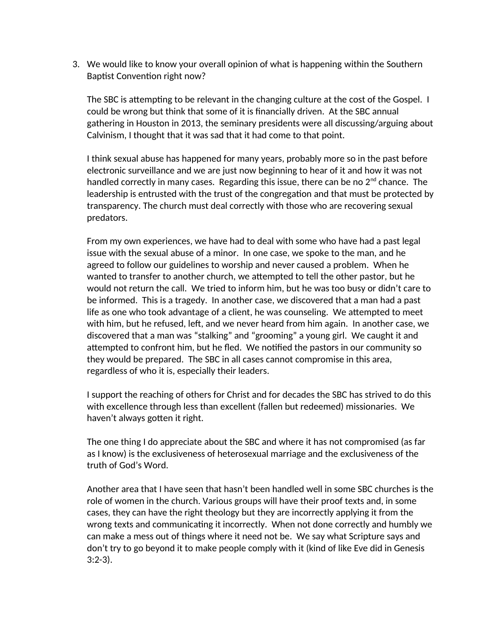3. We would like to know your overall opinion of what is happening within the Southern Baptist Convention right now?

The SBC is attempting to be relevant in the changing culture at the cost of the Gospel. I could be wrong but think that some of it is financially driven. At the SBC annual gathering in Houston in 2013, the seminary presidents were all discussing/arguing about Calvinism, I thought that it was sad that it had come to that point.

I think sexual abuse has happened for many years, probably more so in the past before electronic surveillance and we are just now beginning to hear of it and how it was not handled correctly in many cases. Regarding this issue, there can be no  $2^{nd}$  chance. The leadership is entrusted with the trust of the congregation and that must be protected by transparency. The church must deal correctly with those who are recovering sexual predators.

From my own experiences, we have had to deal with some who have had a past legal issue with the sexual abuse of a minor. In one case, we spoke to the man, and he agreed to follow our guidelines to worship and never caused a problem. When he wanted to transfer to another church, we attempted to tell the other pastor, but he would not return the call. We tried to inform him, but he was too busy or didn't care to be informed. This is a tragedy. In another case, we discovered that a man had a past life as one who took advantage of a client, he was counseling. We attempted to meet with him, but he refused, left, and we never heard from him again. In another case, we discovered that a man was "stalking" and "grooming" a young girl. We caught it and attempted to confront him, but he fled. We notified the pastors in our community so they would be prepared. The SBC in all cases cannot compromise in this area, regardless of who it is, especially their leaders.

I support the reaching of others for Christ and for decades the SBC has strived to do this with excellence through less than excellent (fallen but redeemed) missionaries. We haven't always gotten it right.

The one thing I do appreciate about the SBC and where it has not compromised (as far as I know) is the exclusiveness of heterosexual marriage and the exclusiveness of the truth of God's Word.

Another area that I have seen that hasn't been handled well in some SBC churches is the role of women in the church. Various groups will have their proof texts and, in some cases, they can have the right theology but they are incorrectly applying it from the wrong texts and communicating it incorrectly. When not done correctly and humbly we can make a mess out of things where it need not be. We say what Scripture says and don't try to go beyond it to make people comply with it (kind of like Eve did in Genesis 3:2-3).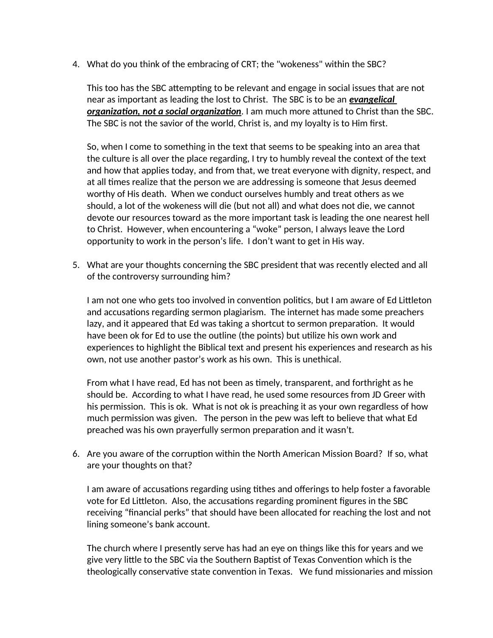4. What do you think of the embracing of CRT; the "wokeness" within the SBC?

This too has the SBC attempting to be relevant and engage in social issues that are not near as important as leading the lost to Christ. The SBC is to be an *evangelical organization, not a social organization.* I am much more attuned to Christ than the SBC. The SBC is not the savior of the world, Christ is, and my loyalty is to Him first.

So, when I come to something in the text that seems to be speaking into an area that the culture is all over the place regarding, I try to humbly reveal the context of the text and how that applies today, and from that, we treat everyone with dignity, respect, and at all times realize that the person we are addressing is someone that Jesus deemed worthy of His death. When we conduct ourselves humbly and treat others as we should, a lot of the wokeness will die (but not all) and what does not die, we cannot devote our resources toward as the more important task is leading the one nearest hell to Christ. However, when encountering a "woke" person, I always leave the Lord opportunity to work in the person's life. I don't want to get in His way.

5. What are your thoughts concerning the SBC president that was recently elected and all of the controversy surrounding him?

I am not one who gets too involved in convention politics, but I am aware of Ed Littleton and accusations regarding sermon plagiarism. The internet has made some preachers lazy, and it appeared that Ed was taking a shortcut to sermon preparation. It would have been ok for Ed to use the outline (the points) but utilize his own work and experiences to highlight the Biblical text and present his experiences and research as his own, not use another pastor's work as his own. This is unethical.

From what I have read, Ed has not been as timely, transparent, and forthright as he should be. According to what I have read, he used some resources from JD Greer with his permission. This is ok. What is not ok is preaching it as your own regardless of how much permission was given. The person in the pew was left to believe that what Ed preached was his own prayerfully sermon preparation and it wasn't.

6. Are you aware of the corruption within the North American Mission Board? If so, what are your thoughts on that?

I am aware of accusations regarding using tithes and offerings to help foster a favorable vote for Ed Littleton. Also, the accusations regarding prominent figures in the SBC receiving "financial perks" that should have been allocated for reaching the lost and not lining someone's bank account.

The church where I presently serve has had an eye on things like this for years and we give very little to the SBC via the Southern Baptist of Texas Convention which is the theologically conservative state convention in Texas. We fund missionaries and mission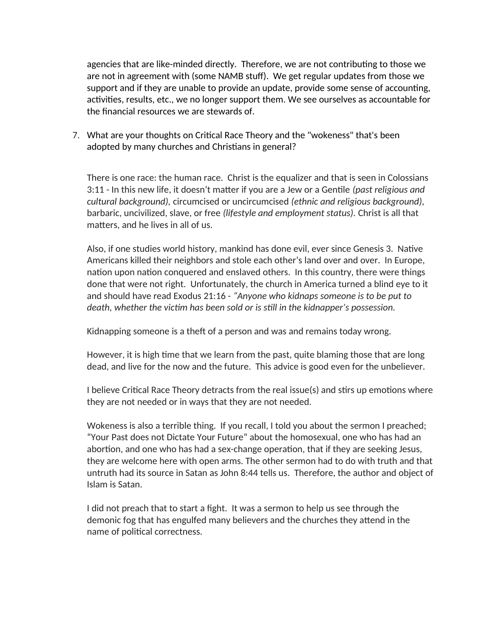agencies that are like-minded directly. Therefore, we are not contributing to those we are not in agreement with (some NAMB stuff). We get regular updates from those we support and if they are unable to provide an update, provide some sense of accounting, activities, results, etc., we no longer support them. We see ourselves as accountable for the financial resources we are stewards of.

7. What are your thoughts on Critical Race Theory and the "wokeness" that's been adopted by many churches and Christians in general?

There is one race: the human race. Christ is the equalizer and that is seen in Colossians 3:11 - In this new life, it doesn't matter if you are a Jew or a Gentile *(past religious and cultural background),* circumcised or uncircumcised *(ethnic and religious background),* barbaric, uncivilized, slave, or free *(lifestyle and employment status).* Christ is all that matters, and he lives in all of us.

Also, if one studies world history, mankind has done evil, ever since Genesis 3. Native Americans killed their neighbors and stole each other's land over and over. In Europe, nation upon nation conquered and enslaved others. In this country, there were things done that were not right. Unfortunately, the church in America turned a blind eye to it and should have read Exodus 21:16 - *"Anyone who kidnaps someone is to be put to death, whether the victim has been sold or is still in the kidnapper's possession.* 

Kidnapping someone is a theft of a person and was and remains today wrong.

However, it is high time that we learn from the past, quite blaming those that are long dead, and live for the now and the future. This advice is good even for the unbeliever.

I believe Critical Race Theory detracts from the real issue(s) and stirs up emotions where they are not needed or in ways that they are not needed.

Wokeness is also a terrible thing. If you recall, I told you about the sermon I preached; "Your Past does not Dictate Your Future" about the homosexual, one who has had an abortion, and one who has had a sex-change operation, that if they are seeking Jesus, they are welcome here with open arms. The other sermon had to do with truth and that untruth had its source in Satan as John 8:44 tells us. Therefore, the author and object of Islam is Satan.

I did not preach that to start a fight. It was a sermon to help us see through the demonic fog that has engulfed many believers and the churches they attend in the name of political correctness.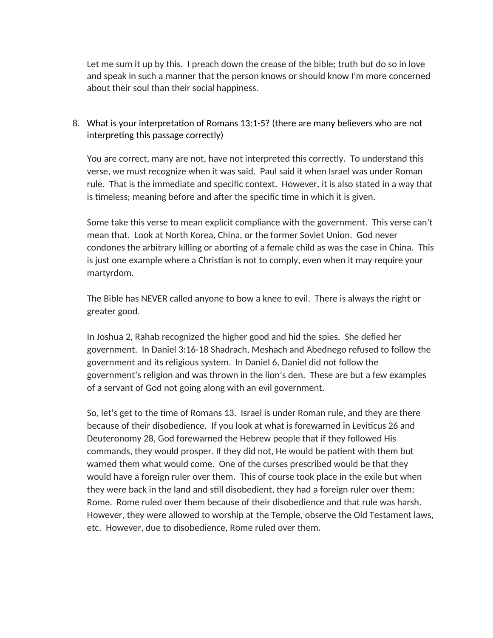Let me sum it up by this. I preach down the crease of the bible; truth but do so in love and speak in such a manner that the person knows or should know I'm more concerned about their soul than their social happiness.

8. What is your interpretation of Romans 13:1-5? (there are many believers who are not interpreting this passage correctly)

You are correct, many are not, have not interpreted this correctly. To understand this verse, we must recognize when it was said. Paul said it when Israel was under Roman rule. That is the immediate and specific context. However, it is also stated in a way that is timeless; meaning before and after the specific time in which it is given.

Some take this verse to mean explicit compliance with the government. This verse can't mean that. Look at North Korea, China, or the former Soviet Union. God never condones the arbitrary killing or aborting of a female child as was the case in China. This is just one example where a Christian is not to comply, even when it may require your martyrdom.

The Bible has NEVER called anyone to bow a knee to evil. There is always the right or greater good.

In Joshua 2, Rahab recognized the higher good and hid the spies. She defied her government. In Daniel 3:16-18 Shadrach, Meshach and Abednego refused to follow the government and its religious system. In Daniel 6, Daniel did not follow the government's religion and was thrown in the lion's den. These are but a few examples of a servant of God not going along with an evil government.

So, let's get to the time of Romans 13. Israel is under Roman rule, and they are there because of their disobedience. If you look at what is forewarned in Leviticus 26 and Deuteronomy 28, God forewarned the Hebrew people that if they followed His commands, they would prosper. If they did not, He would be patient with them but warned them what would come. One of the curses prescribed would be that they would have a foreign ruler over them. This of course took place in the exile but when they were back in the land and still disobedient, they had a foreign ruler over them; Rome. Rome ruled over them because of their disobedience and that rule was harsh. However, they were allowed to worship at the Temple, observe the Old Testament laws, etc. However, due to disobedience, Rome ruled over them.